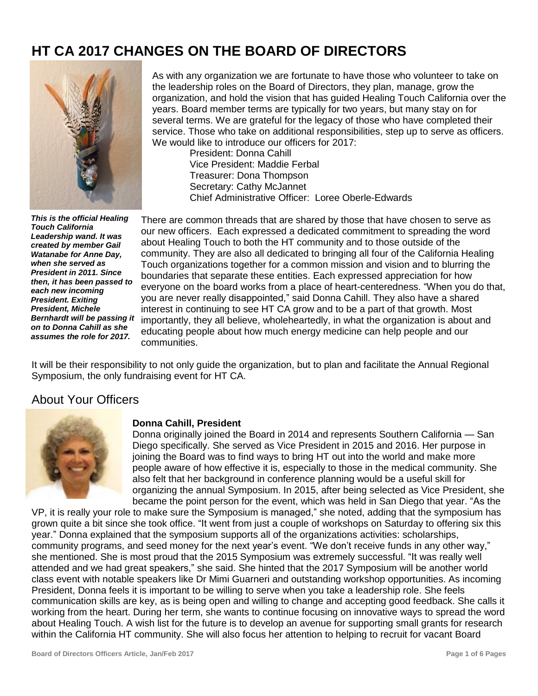# **HT CA 2017 CHANGES ON THE BOARD OF DIRECTORS**



As with any organization we are fortunate to have those who volunteer to take on the leadership roles on the Board of Directors, they plan, manage, grow the organization, and hold the vision that has guided Healing Touch California over the years. Board member terms are typically for two years, but many stay on for several terms. We are grateful for the legacy of those who have completed their service. Those who take on additional responsibilities, step up to serve as officers. We would like to introduce our officers for 2017:

President: Donna Cahill Vice President: Maddie Ferbal Treasurer: Dona Thompson Secretary: Cathy McJannet Chief Administrative Officer: Loree Oberle-Edwards

*This is the official Healing Touch California Leadership wand. It was created by member Gail Watanabe for Anne Day, when she served as President in 2011. Since then, it has been passed to each new incoming President. Exiting President, Michele Bernhardt will be passing it on to Donna Cahill as she assumes the role for 2017.*

There are common threads that are shared by those that have chosen to serve as our new officers. Each expressed a dedicated commitment to spreading the word about Healing Touch to both the HT community and to those outside of the community. They are also all dedicated to bringing all four of the California Healing Touch organizations together for a common mission and vision and to blurring the boundaries that separate these entities. Each expressed appreciation for how everyone on the board works from a place of heart-centeredness. "When you do that, you are never really disappointed," said Donna Cahill. They also have a shared interest in continuing to see HT CA grow and to be a part of that growth. Most importantly, they all believe, wholeheartedly, in what the organization is about and educating people about how much energy medicine can help people and our communities.

It will be their responsibility to not only guide the organization, but to plan and facilitate the Annual Regional Symposium, the only fundraising event for HT CA.

# About Your Officers



## **Donna Cahill, President**

Donna originally joined the Board in 2014 and represents Southern California — San Diego specifically. She served as Vice President in 2015 and 2016. Her purpose in joining the Board was to find ways to bring HT out into the world and make more people aware of how effective it is, especially to those in the medical community. She also felt that her background in conference planning would be a useful skill for organizing the annual Symposium. In 2015, after being selected as Vice President, she became the point person for the event, which was held in San Diego that year. "As the

VP, it is really your role to make sure the Symposium is managed," she noted, adding that the symposium has grown quite a bit since she took office. "It went from just a couple of workshops on Saturday to offering six this year." Donna explained that the symposium supports all of the organizations activities: scholarships, community programs, and seed money for the next year's event. "We don't receive funds in any other way," she mentioned. She is most proud that the 2015 Symposium was extremely successful. "It was really well attended and we had great speakers," she said. She hinted that the 2017 Symposium will be another world class event with notable speakers like Dr Mimi Guarneri and outstanding workshop opportunities. As incoming President, Donna feels it is important to be willing to serve when you take a leadership role. She feels communication skills are key, as is being open and willing to change and accepting good feedback. She calls it working from the heart. During her term, she wants to continue focusing on innovative ways to spread the word about Healing Touch. A wish list for the future is to develop an avenue for supporting small grants for research within the California HT community. She will also focus her attention to helping to recruit for vacant Board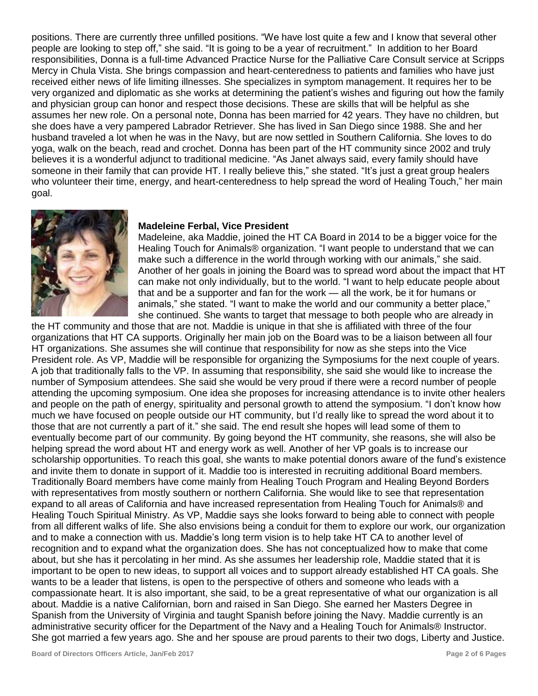positions. There are currently three unfilled positions. "We have lost quite a few and I know that several other people are looking to step off," she said. "It is going to be a year of recruitment." In addition to her Board responsibilities, Donna is a full-time Advanced Practice Nurse for the Palliative Care Consult service at Scripps Mercy in Chula Vista. She brings compassion and heart-centeredness to patients and families who have just received either news of life limiting illnesses. She specializes in symptom management. It requires her to be very organized and diplomatic as she works at determining the patient's wishes and figuring out how the family and physician group can honor and respect those decisions. These are skills that will be helpful as she assumes her new role. On a personal note, Donna has been married for 42 years. They have no children, but she does have a very pampered Labrador Retriever. She has lived in San Diego since 1988. She and her husband traveled a lot when he was in the Navy, but are now settled in Southern California. She loves to do yoga, walk on the beach, read and crochet. Donna has been part of the HT community since 2002 and truly believes it is a wonderful adjunct to traditional medicine. "As Janet always said, every family should have someone in their family that can provide HT. I really believe this," she stated. "It's just a great group healers who volunteer their time, energy, and heart-centeredness to help spread the word of Healing Touch," her main goal.



#### **Madeleine Ferbal, Vice President**

Madeleine, aka Maddie, joined the HT CA Board in 2014 to be a bigger voice for the Healing Touch for Animals® organization. "I want people to understand that we can make such a difference in the world through working with our animals," she said. Another of her goals in joining the Board was to spread word about the impact that HT can make not only individually, but to the world. "I want to help educate people about that and be a supporter and fan for the work — all the work, be it for humans or animals," she stated. "I want to make the world and our community a better place," she continued. She wants to target that message to both people who are already in

the HT community and those that are not. Maddie is unique in that she is affiliated with three of the four organizations that HT CA supports. Originally her main job on the Board was to be a liaison between all four HT organizations. She assumes she will continue that responsibility for now as she steps into the Vice President role. As VP, Maddie will be responsible for organizing the Symposiums for the next couple of years. A job that traditionally falls to the VP. In assuming that responsibility, she said she would like to increase the number of Symposium attendees. She said she would be very proud if there were a record number of people attending the upcoming symposium. One idea she proposes for increasing attendance is to invite other healers and people on the path of energy, spirituality and personal growth to attend the symposium. "I don't know how much we have focused on people outside our HT community, but I'd really like to spread the word about it to those that are not currently a part of it." she said. The end result she hopes will lead some of them to eventually become part of our community. By going beyond the HT community, she reasons, she will also be helping spread the word about HT and energy work as well. Another of her VP goals is to increase our scholarship opportunities. To reach this goal, she wants to make potential donors aware of the fund's existence and invite them to donate in support of it. Maddie too is interested in recruiting additional Board members. Traditionally Board members have come mainly from Healing Touch Program and Healing Beyond Borders with representatives from mostly southern or northern California. She would like to see that representation expand to all areas of California and have increased representation from Healing Touch for Animals® and Healing Touch Spiritual Ministry. As VP, Maddie says she looks forward to being able to connect with people from all different walks of life. She also envisions being a conduit for them to explore our work, our organization and to make a connection with us. Maddie's long term vision is to help take HT CA to another level of recognition and to expand what the organization does. She has not conceptualized how to make that come about, but she has it percolating in her mind. As she assumes her leadership role, Maddie stated that it is important to be open to new ideas, to support all voices and to support already established HT CA goals. She wants to be a leader that listens, is open to the perspective of others and someone who leads with a compassionate heart. It is also important, she said, to be a great representative of what our organization is all about. Maddie is a native Californian, born and raised in San Diego. She earned her Masters Degree in Spanish from the University of Virginia and taught Spanish before joining the Navy. Maddie currently is an administrative security officer for the Department of the Navy and a Healing Touch for Animals® Instructor. She got married a few years ago. She and her spouse are proud parents to their two dogs, Liberty and Justice.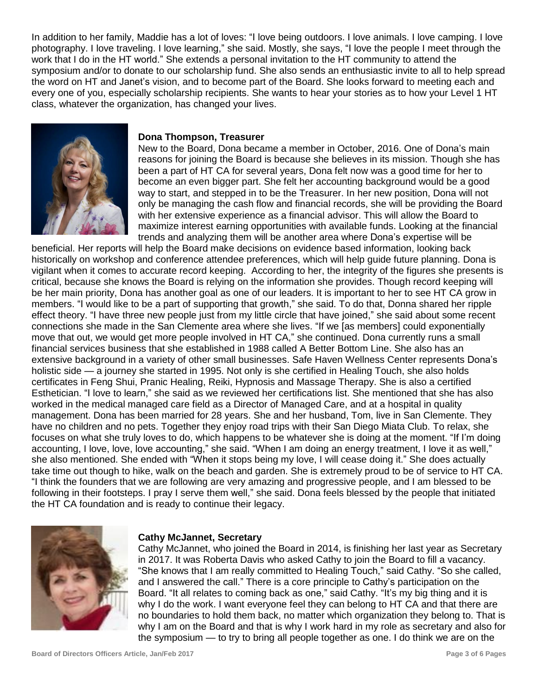In addition to her family, Maddie has a lot of loves: "I love being outdoors. I love animals. I love camping. I love photography. I love traveling. I love learning," she said. Mostly, she says, "I love the people I meet through the work that I do in the HT world." She extends a personal invitation to the HT community to attend the symposium and/or to donate to our scholarship fund. She also sends an enthusiastic invite to all to help spread the word on HT and Janet's vision, and to become part of the Board. She looks forward to meeting each and every one of you, especially scholarship recipients. She wants to hear your stories as to how your Level 1 HT class, whatever the organization, has changed your lives.



## **Dona Thompson, Treasurer**

New to the Board, Dona became a member in October, 2016. One of Dona's main reasons for joining the Board is because she believes in its mission. Though she has been a part of HT CA for several years, Dona felt now was a good time for her to become an even bigger part. She felt her accounting background would be a good way to start, and stepped in to be the Treasurer. In her new position, Dona will not only be managing the cash flow and financial records, she will be providing the Board with her extensive experience as a financial advisor. This will allow the Board to maximize interest earning opportunities with available funds. Looking at the financial trends and analyzing them will be another area where Dona's expertise will be

beneficial. Her reports will help the Board make decisions on evidence based information, looking back historically on workshop and conference attendee preferences, which will help guide future planning. Dona is vigilant when it comes to accurate record keeping. According to her, the integrity of the figures she presents is critical, because she knows the Board is relying on the information she provides. Though record keeping will be her main priority, Dona has another goal as one of our leaders. It is important to her to see HT CA grow in members. "I would like to be a part of supporting that growth," she said. To do that, Donna shared her ripple effect theory. "I have three new people just from my little circle that have joined," she said about some recent connections she made in the San Clemente area where she lives. "If we [as members] could exponentially move that out, we would get more people involved in HT CA," she continued. Dona currently runs a small financial services business that she established in 1988 called A Better Bottom Line. She also has an extensive background in a variety of other small businesses. Safe Haven Wellness Center represents Dona's holistic side — a journey she started in 1995. Not only is she certified in Healing Touch, she also holds certificates in Feng Shui, Pranic Healing, Reiki, Hypnosis and Massage Therapy. She is also a certified Esthetician. "I love to learn," she said as we reviewed her certifications list. She mentioned that she has also worked in the medical managed care field as a Director of Managed Care, and at a hospital in quality management. Dona has been married for 28 years. She and her husband, Tom, live in San Clemente. They have no children and no pets. Together they enjoy road trips with their San Diego Miata Club. To relax, she focuses on what she truly loves to do, which happens to be whatever she is doing at the moment. "If I'm doing accounting, I love, love, love accounting," she said. "When I am doing an energy treatment, I love it as well," she also mentioned. She ended with "When it stops being my love, I will cease doing it." She does actually take time out though to hike, walk on the beach and garden. She is extremely proud to be of service to HT CA. "I think the founders that we are following are very amazing and progressive people, and I am blessed to be following in their footsteps. I pray I serve them well," she said. Dona feels blessed by the people that initiated the HT CA foundation and is ready to continue their legacy.



#### **Cathy McJannet, Secretary**

Cathy McJannet, who joined the Board in 2014, is finishing her last year as Secretary in 2017. It was Roberta Davis who asked Cathy to join the Board to fill a vacancy. "She knows that I am really committed to Healing Touch," said Cathy. "So she called, and I answered the call." There is a core principle to Cathy's participation on the Board. "It all relates to coming back as one," said Cathy. "It's my big thing and it is why I do the work. I want everyone feel they can belong to HT CA and that there are no boundaries to hold them back, no matter which organization they belong to. That is why I am on the Board and that is why I work hard in my role as secretary and also for the symposium — to try to bring all people together as one. I do think we are on the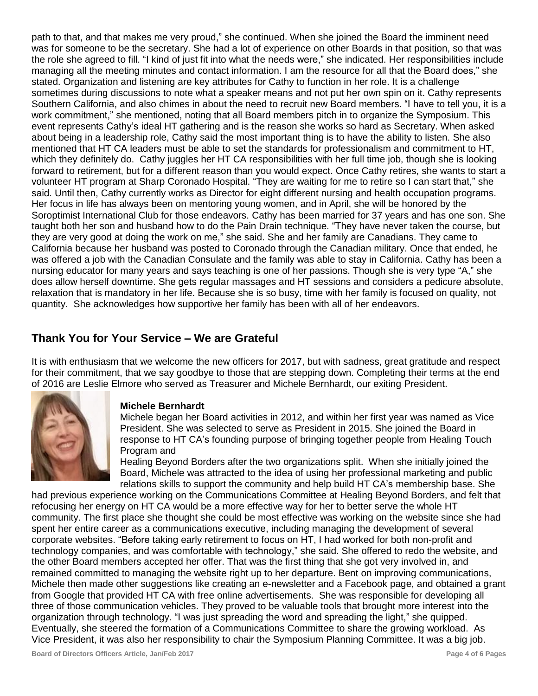path to that, and that makes me very proud," she continued. When she joined the Board the imminent need was for someone to be the secretary. She had a lot of experience on other Boards in that position, so that was the role she agreed to fill. "I kind of just fit into what the needs were," she indicated. Her responsibilities include managing all the meeting minutes and contact information. I am the resource for all that the Board does," she stated. Organization and listening are key attributes for Cathy to function in her role. It is a challenge sometimes during discussions to note what a speaker means and not put her own spin on it. Cathy represents Southern California, and also chimes in about the need to recruit new Board members. "I have to tell you, it is a work commitment," she mentioned, noting that all Board members pitch in to organize the Symposium. This event represents Cathy's ideal HT gathering and is the reason she works so hard as Secretary. When asked about being in a leadership role, Cathy said the most important thing is to have the ability to listen. She also mentioned that HT CA leaders must be able to set the standards for professionalism and commitment to HT, which they definitely do. Cathy juggles her HT CA responsibilities with her full time job, though she is looking forward to retirement, but for a different reason than you would expect. Once Cathy retires, she wants to start a volunteer HT program at Sharp Coronado Hospital. "They are waiting for me to retire so I can start that," she said. Until then, Cathy currently works as Director for eight different nursing and health occupation programs. Her focus in life has always been on mentoring young women, and in April, she will be honored by the Soroptimist International Club for those endeavors. Cathy has been married for 37 years and has one son. She taught both her son and husband how to do the Pain Drain technique. "They have never taken the course, but they are very good at doing the work on me," she said. She and her family are Canadians. They came to California because her husband was posted to Coronado through the Canadian military. Once that ended, he was offered a job with the Canadian Consulate and the family was able to stay in California. Cathy has been a nursing educator for many years and says teaching is one of her passions. Though she is very type "A," she does allow herself downtime. She gets regular massages and HT sessions and considers a pedicure absolute, relaxation that is mandatory in her life. Because she is so busy, time with her family is focused on quality, not quantity. She acknowledges how supportive her family has been with all of her endeavors.

# **Thank You for Your Service – We are Grateful**

It is with enthusiasm that we welcome the new officers for 2017, but with sadness, great gratitude and respect for their commitment, that we say goodbye to those that are stepping down. Completing their terms at the end of 2016 are Leslie Elmore who served as Treasurer and Michele Bernhardt, our exiting President.



## **Michele Bernhardt**

Michele began her Board activities in 2012, and within her first year was named as Vice President. She was selected to serve as President in 2015. She joined the Board in response to HT CA's founding purpose of bringing together people from Healing Touch Program and

Healing Beyond Borders after the two organizations split. When she initially joined the Board, Michele was attracted to the idea of using her professional marketing and public relations skills to support the community and help build HT CA's membership base. She

had previous experience working on the Communications Committee at Healing Beyond Borders, and felt that refocusing her energy on HT CA would be a more effective way for her to better serve the whole HT community. The first place she thought she could be most effective was working on the website since she had spent her entire career as a communications executive, including managing the development of several corporate websites. "Before taking early retirement to focus on HT, I had worked for both non-profit and technology companies, and was comfortable with technology," she said. She offered to redo the website, and the other Board members accepted her offer. That was the first thing that she got very involved in, and remained committed to managing the website right up to her departure. Bent on improving communications, Michele then made other suggestions like creating an e-newsletter and a Facebook page, and obtained a grant from Google that provided HT CA with free online advertisements. She was responsible for developing all three of those communication vehicles. They proved to be valuable tools that brought more interest into the organization through technology. "I was just spreading the word and spreading the light," she quipped. Eventually, she steered the formation of a Communications Committee to share the growing workload. As Vice President, it was also her responsibility to chair the Symposium Planning Committee. It was a big job.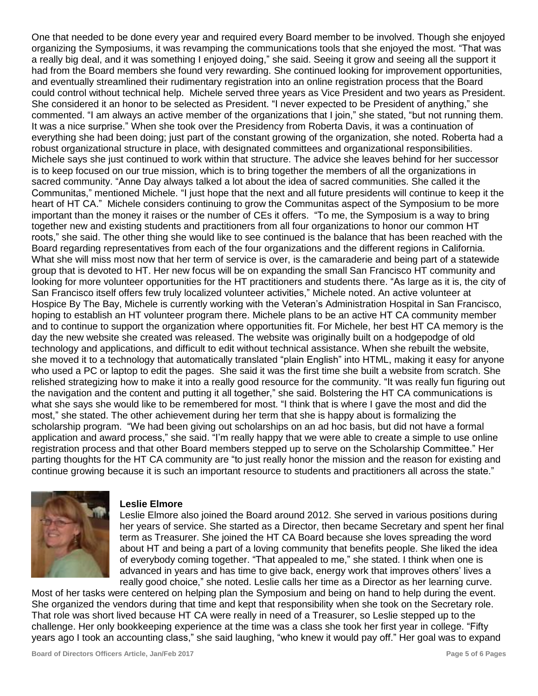One that needed to be done every year and required every Board member to be involved. Though she enjoyed organizing the Symposiums, it was revamping the communications tools that she enjoyed the most. "That was a really big deal, and it was something I enjoyed doing," she said. Seeing it grow and seeing all the support it had from the Board members she found very rewarding. She continued looking for improvement opportunities, and eventually streamlined their rudimentary registration into an online registration process that the Board could control without technical help. Michele served three years as Vice President and two years as President. She considered it an honor to be selected as President. "I never expected to be President of anything," she commented. "I am always an active member of the organizations that I join," she stated, "but not running them. It was a nice surprise." When she took over the Presidency from Roberta Davis, it was a continuation of everything she had been doing; just part of the constant growing of the organization, she noted. Roberta had a robust organizational structure in place, with designated committees and organizational responsibilities. Michele says she just continued to work within that structure. The advice she leaves behind for her successor is to keep focused on our true mission, which is to bring together the members of all the organizations in sacred community. "Anne Day always talked a lot about the idea of sacred communities. She called it the Communitas," mentioned Michele. "I just hope that the next and all future presidents will continue to keep it the heart of HT CA." Michele considers continuing to grow the Communitas aspect of the Symposium to be more important than the money it raises or the number of CEs it offers. "To me, the Symposium is a way to bring together new and existing students and practitioners from all four organizations to honor our common HT roots," she said. The other thing she would like to see continued is the balance that has been reached with the Board regarding representatives from each of the four organizations and the different regions in California. What she will miss most now that her term of service is over, is the camaraderie and being part of a statewide group that is devoted to HT. Her new focus will be on expanding the small San Francisco HT community and looking for more volunteer opportunities for the HT practitioners and students there. "As large as it is, the city of San Francisco itself offers few truly localized volunteer activities," Michele noted. An active volunteer at Hospice By The Bay, Michele is currently working with the Veteran's Administration Hospital in San Francisco, hoping to establish an HT volunteer program there. Michele plans to be an active HT CA community member and to continue to support the organization where opportunities fit. For Michele, her best HT CA memory is the day the new website she created was released. The website was originally built on a hodgepodge of old technology and applications, and difficult to edit without technical assistance. When she rebuilt the website, she moved it to a technology that automatically translated "plain English" into HTML, making it easy for anyone who used a PC or laptop to edit the pages. She said it was the first time she built a website from scratch. She relished strategizing how to make it into a really good resource for the community. "It was really fun figuring out the navigation and the content and putting it all together," she said. Bolstering the HT CA communications is what she says she would like to be remembered for most. "I think that is where I gave the most and did the most," she stated. The other achievement during her term that she is happy about is formalizing the scholarship program. "We had been giving out scholarships on an ad hoc basis, but did not have a formal application and award process," she said. "I'm really happy that we were able to create a simple to use online registration process and that other Board members stepped up to serve on the Scholarship Committee." Her parting thoughts for the HT CA community are "to just really honor the mission and the reason for existing and continue growing because it is such an important resource to students and practitioners all across the state."



## **Leslie Elmore**

Leslie Elmore also joined the Board around 2012. She served in various positions during her years of service. She started as a Director, then became Secretary and spent her final term as Treasurer. She joined the HT CA Board because she loves spreading the word about HT and being a part of a loving community that benefits people. She liked the idea of everybody coming together. "That appealed to me," she stated. I think when one is advanced in years and has time to give back, energy work that improves others' lives a really good choice," she noted. Leslie calls her time as a Director as her learning curve.

Most of her tasks were centered on helping plan the Symposium and being on hand to help during the event. She organized the vendors during that time and kept that responsibility when she took on the Secretary role. That role was short lived because HT CA were really in need of a Treasurer, so Leslie stepped up to the challenge. Her only bookkeeping experience at the time was a class she took her first year in college. "Fifty years ago I took an accounting class," she said laughing, "who knew it would pay off." Her goal was to expand